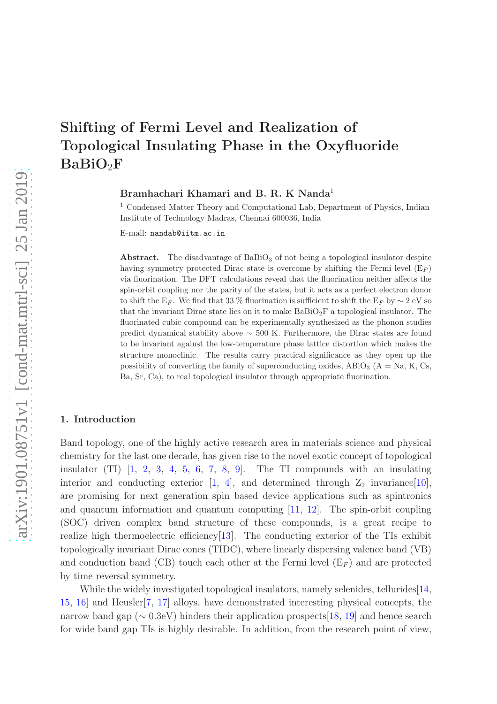## Shifting of Fermi Level and Realization of Topological Insulating Phase in the Oxyfluoride BaBiO2F

Bramhachari Khamari and B. R. K Nanda<sup>1</sup>

<sup>1</sup> Condensed Matter Theory and Computational Lab, Department of Physics, Indian Institute of Technology Madras, Chennai 600036, India

E-mail: nandab@iitm.ac.in

Abstract. The disadvantage of  $BaBiO<sub>3</sub>$  of not being a topological insulator despite having symmetry protected Dirac state is overcome by shifting the Fermi level  $(E_F)$ via fluorination. The DFT calculations reveal that the fluorination neither affects the spin-orbit coupling nor the parity of the states, but it acts as a perfect electron donor to shift the E<sub>F</sub>. We find that 33 % fluorination is sufficient to shift the E<sub>F</sub> by  $\sim$  2 eV so that the invariant Dirac state lies on it to make  $BaBiO<sub>2</sub>F$  a topological insulator. The fluorinated cubic compound can be experimentally synthesized as the phonon studies predict dynamical stability above ∼ 500 K. Furthermore, the Dirac states are found to be invariant against the low-temperature phase lattice distortion which makes the structure monoclinic. The results carry practical significance as they open up the possibility of converting the family of superconducting oxides, ABiO<sub>3</sub> ( $A = Na$ , K, Cs, Ba, Sr, Ca), to real topological insulator through appropriate fluorination.

## 1. Introduction

Band topology, one of the highly active research area in materials science and physical chemistry for the last one decade, has given rise to the novel exotic concept of topological insulator  $(TI)$   $\begin{bmatrix} 1, 2, 3, 4, 5, 6, 7, 8, 9 \end{bmatrix}$  $\begin{bmatrix} 1, 2, 3, 4, 5, 6, 7, 8, 9 \end{bmatrix}$  $\begin{bmatrix} 1, 2, 3, 4, 5, 6, 7, 8, 9 \end{bmatrix}$  $\begin{bmatrix} 1, 2, 3, 4, 5, 6, 7, 8, 9 \end{bmatrix}$  $\begin{bmatrix} 1, 2, 3, 4, 5, 6, 7, 8, 9 \end{bmatrix}$  $\begin{bmatrix} 1, 2, 3, 4, 5, 6, 7, 8, 9 \end{bmatrix}$  $\begin{bmatrix} 1, 2, 3, 4, 5, 6, 7, 8, 9 \end{bmatrix}$  $\begin{bmatrix} 1, 2, 3, 4, 5, 6, 7, 8, 9 \end{bmatrix}$  $\begin{bmatrix} 1, 2, 3, 4, 5, 6, 7, 8, 9 \end{bmatrix}$  $\begin{bmatrix} 1, 2, 3, 4, 5, 6, 7, 8, 9 \end{bmatrix}$  $\begin{bmatrix} 1, 2, 3, 4, 5, 6, 7, 8, 9 \end{bmatrix}$  $\begin{bmatrix} 1, 2, 3, 4, 5, 6, 7, 8, 9 \end{bmatrix}$  $\begin{bmatrix} 1, 2, 3, 4, 5, 6, 7, 8, 9 \end{bmatrix}$  $\begin{bmatrix} 1, 2, 3, 4, 5, 6, 7, 8, 9 \end{bmatrix}$  $\begin{bmatrix} 1, 2, 3, 4, 5, 6, 7, 8, 9 \end{bmatrix}$ . The TI compounds with an insulating interior and conducting exterior [\[1,](#page-9-0) [4\]](#page-9-3), and determined through  $Z_2$  invariance[\[10\]](#page-10-0), are promising for next generation spin based device applications such as spintronics and quantum information and quantum computing [\[11,](#page-10-1) [12\]](#page-10-2). The spin-orbit coupling (SOC) driven complex band structure of these compounds, is a great recipe to realize high thermoelectric efficiency[\[13\]](#page-10-3). The conducting exterior of the TIs exhibit topologically invariant Dirac cones (TIDC), where linearly dispersing valence band (VB) and conduction band (CB) touch each other at the Fermi level  $(E_F)$  and are protected by time reversal symmetry.

While the widely investigated topological insulators, namely selenides, tellurides [\[14,](#page-10-4) [15,](#page-10-5) [16\]](#page-10-6) and Heusler[\[7,](#page-9-6) [17\]](#page-10-7) alloys, have demonstrated interesting physical concepts, the narrow band gap (∼ 0.3eV) hinders their application prospects[\[18,](#page-10-8) [19\]](#page-10-9) and hence search for wide band gap TIs is highly desirable. In addition, from the research point of view,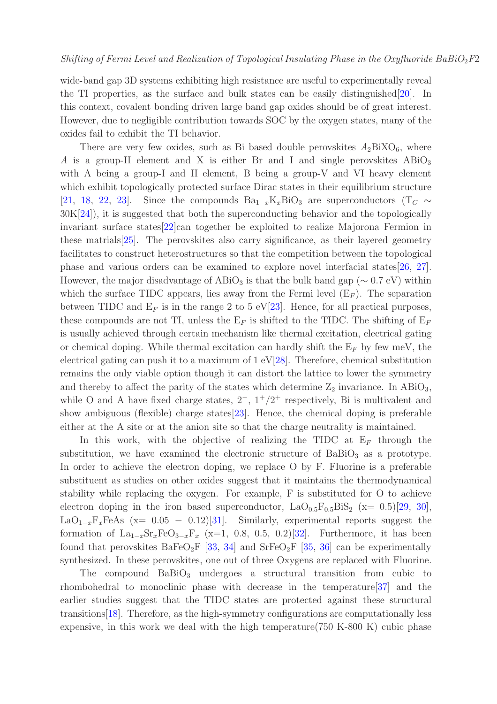wide-band gap 3D systems exhibiting high resistance are useful to experimentally reveal the TI properties, as the surface and bulk states can be easily distinguished[\[20\]](#page-10-10). In this context, covalent bonding driven large band gap oxides should be of great interest. However, due to negligible contribution towards SOC by the oxygen states, many of the oxides fail to exhibit the TI behavior.

There are very few oxides, such as Bi based double perovskites  $A_2BiXO_6$ , where A is a group-II element and X is either Br and I and single perovskites  $ABiO<sub>3</sub>$ with A being a group-I and II element, B being a group-V and VI heavy element which exhibit topologically protected surface Dirac states in their equilibrium structure [\[21,](#page-10-11) [18,](#page-10-8) [22,](#page-10-12) [23\]](#page-10-13). Since the compounds  $Ba_{1-x}K_xBiO_3$  are superconductors (T<sub>C</sub>  $\sim$ 30K[\[24\]](#page-10-14)), it is suggested that both the superconducting behavior and the topologically invariant surface states[\[22\]](#page-10-12)can together be exploited to realize Majorona Fermion in these matrials[\[25\]](#page-10-15). The perovskites also carry significance, as their layered geometry facilitates to construct heterostructures so that the competition between the topological phase and various orders can be examined to explore novel interfacial states[\[26,](#page-10-16) [27\]](#page-10-17). However, the major disadvantage of ABiO<sub>3</sub> is that the bulk band gap ( $\sim 0.7 \text{ eV}$ ) within which the surface TIDC appears, lies away from the Fermi level  $(E_F)$ . The separation between TIDC and  $E_F$  is in the range 2 to 5 eV[\[23\]](#page-10-13). Hence, for all practical purposes, these compounds are not TI, unless the  $E_F$  is shifted to the TIDC. The shifting of  $E_F$ is usually achieved through certain mechanism like thermal excitation, electrical gating or chemical doping. While thermal excitation can hardly shift the  $E_F$  by few meV, the electrical gating can push it to a maximum of 1 eV[\[28\]](#page-10-18). Therefore, chemical substitution remains the only viable option though it can distort the lattice to lower the symmetry and thereby to affect the parity of the states which determine  $Z_2$  invariance. In ABiO<sub>3</sub>, while O and A have fixed charge states,  $2^-, 1^+/2^+$  respectively, Bi is multivalent and show ambiguous (flexible) charge states[\[23\]](#page-10-13). Hence, the chemical doping is preferable either at the A site or at the anion site so that the charge neutrality is maintained.

In this work, with the objective of realizing the TIDC at  $E_F$  through the substitution, we have examined the electronic structure of  $BaBiO<sub>3</sub>$  as a prototype. In order to achieve the electron doping, we replace O by F. Fluorine is a preferable substituent as studies on other oxides suggest that it maintains the thermodynamical stability while replacing the oxygen. For example, F is substituted for O to achieve electron doping in the iron based superconductor,  $LaO<sub>0.5</sub>F<sub>0.5</sub>BiS<sub>2</sub>$  (x= 0.5)[\[29,](#page-10-19) [30\]](#page-10-20), LaO<sub>1−x</sub>F<sub>x</sub>FeAs (x= 0.05 − 0.12)[\[31\]](#page-10-21). Similarly, experimental reports suggest the formation of  $La_{1-x}Sr_xFeO_{3-x}F_x$  (x=1, 0.8, 0.5, 0.2)[\[32\]](#page-10-22). Furthermore, it has been found that perovskites  $BaFeO<sub>2</sub>F$  [\[33,](#page-10-23) [34\]](#page-10-24) and  $SrFeO<sub>2</sub>F$  [\[35,](#page-11-0) [36\]](#page-11-1) can be experimentally synthesized. In these perovskites, one out of three Oxygens are replaced with Fluorine.

The compound  $BaBiO<sub>3</sub>$  undergoes a structural transition from cubic to rhombohedral to monoclinic phase with decrease in the temperature[\[37\]](#page-11-2) and the earlier studies suggest that the TIDC states are protected against these structural transitions[\[18\]](#page-10-8). Therefore, as the high-symmetry configurations are computationally less expensive, in this work we deal with the high temperature(750 K-800 K) cubic phase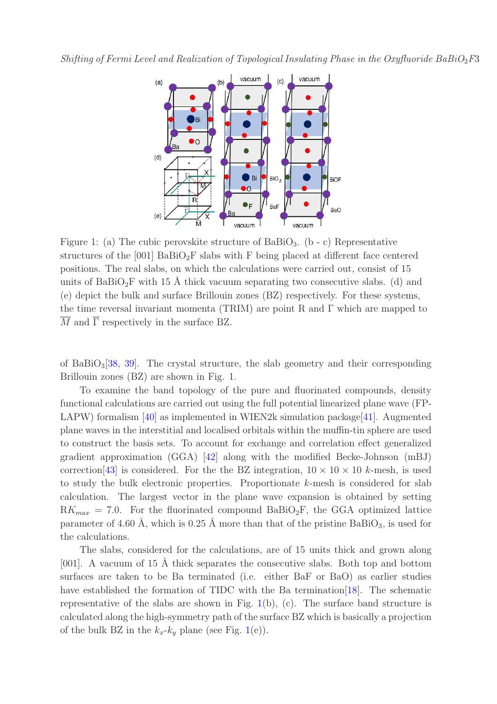<span id="page-2-0"></span>

Figure 1: (a) The cubic perovskite structure of BaBiO<sub>3</sub>. (b - c) Representative structures of the  $[001]$  BaBiO<sub>2</sub>F slabs with F being placed at different face centered positions. The real slabs, on which the calculations were carried out, consist of 15 units of  $BaBiO<sub>2</sub>F$  with 15 Å thick vacuum separating two consecutive slabs. (d) and (e) depict the bulk and surface Brillouin zones (BZ) respectively. For these systems, the time reversal invariant momenta (TRIM) are point R and Γ which are mapped to  $\overline{M}$  and  $\overline{\Gamma}$  respectively in the surface BZ.

of BaBiO<sub>3</sub>[\[38,](#page-11-3) [39\]](#page-11-4). The crystal structure, the slab geometry and their corresponding Brillouin zones (BZ) are shown in Fig. 1.

To examine the band topology of the pure and fluorinated compounds, density functional calculations are carried out using the full potential linearized plane wave (FP-LAPW) formalism  $[40]$  as implemented in WIEN2k simulation package [\[41\]](#page-11-6). Augmented plane waves in the interstitial and localised orbitals within the muffin-tin sphere are used to construct the basis sets. To account for exchange and correlation effect generalized gradient approximation (GGA) [\[42\]](#page-11-7) along with the modified Becke-Johnson (mBJ) correction [\[43\]](#page-11-8) is considered. For the the BZ integration,  $10 \times 10 \times 10$  k-mesh, is used to study the bulk electronic properties. Proportionate  $k$ -mesh is considered for slab calculation. The largest vector in the plane wave expansion is obtained by setting  $RK_{max} = 7.0$ . For the fluorinated compound BaBiO<sub>2</sub>F, the GGA optimized lattice parameter of 4.60 Å, which is 0.25 Å more than that of the pristine  $BaBiO<sub>3</sub>$ , is used for the calculations.

The slabs, considered for the calculations, are of 15 units thick and grown along [001]. A vacuum of 15 Å thick separates the consecutive slabs. Both top and bottom surfaces are taken to be Ba terminated (i.e. either BaF or BaO) as earlier studies have established the formation of TIDC with the Ba termination [\[18\]](#page-10-8). The schematic representative of the slabs are shown in Fig.  $1(b)$  $1(b)$ , (c). The surface band structure is calculated along the high-symmetry path of the surface BZ which is basically a projection of the bulk BZ in the  $k_x-k_y$  plane (see Fig. [1\(](#page-2-0)e)).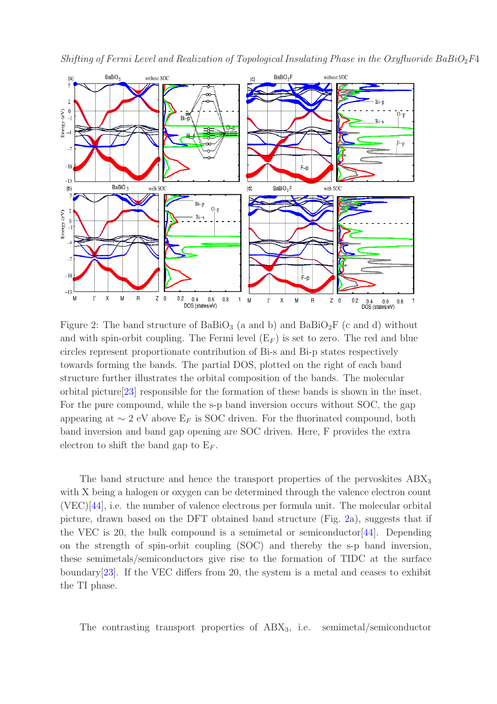

<span id="page-3-0"></span>Shifting of Fermi Level and Realization of Topological Insulating Phase in the Oxyfluoride BaBiO<sub>2</sub>F4

Figure 2: The band structure of  $BaBiO<sub>3</sub>$  (a and b) and  $BaBiO<sub>2</sub>F$  (c and d) without and with spin-orbit coupling. The Fermi level  $(E_F)$  is set to zero. The red and blue circles represent proportionate contribution of Bi-s and Bi-p states respectively towards forming the bands. The partial DOS, plotted on the right of each band structure further illustrates the orbital composition of the bands. The molecular orbital picture[\[23\]](#page-10-13) responsible for the formation of these bands is shown in the inset. For the pure compound, while the s-p band inversion occurs without SOC, the gap appearing at  $\sim 2$  eV above E<sub>F</sub> is SOC driven. For the fluorinated compound, both band inversion and band gap opening are SOC driven. Here, F provides the extra electron to shift the band gap to  $E_F$ .

The band structure and hence the transport properties of the pervoskites  $ABX_3$ with X being a halogen or oxygen can be determined through the valence electron count (VEC)[\[44\]](#page-11-9), i.e. the number of valence electrons per formula unit. The molecular orbital picture, drawn based on the DFT obtained band structure (Fig. [2a](#page-3-0)), suggests that if the VEC is 20, the bulk compound is a semimetal or semiconductor  $[44]$ . Depending on the strength of spin-orbit coupling (SOC) and thereby the s-p band inversion, these semimetals/semiconductors give rise to the formation of TIDC at the surface boundary[\[23\]](#page-10-13). If the VEC differs from 20, the system is a metal and ceases to exhibit the TI phase.

The contrasting transport properties of  $ABX_3$ , i.e. semimetal/semiconductor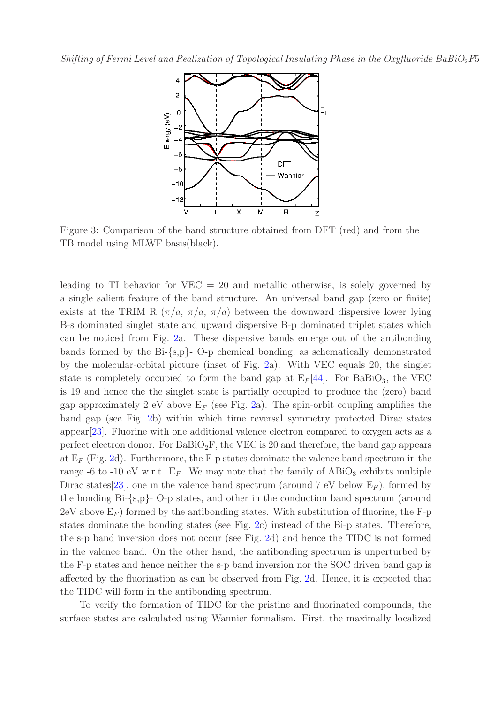<span id="page-4-0"></span>

Figure 3: Comparison of the band structure obtained from DFT (red) and from the TB model using MLWF basis(black).

leading to TI behavior for  $VEC = 20$  and metallic otherwise, is solely governed by a single salient feature of the band structure. An universal band gap (zero or finite) exists at the TRIM R  $(\pi/a, \pi/a, \pi/a)$  between the downward dispersive lower lying B-s dominated singlet state and upward dispersive B-p dominated triplet states which can be noticed from Fig. [2a](#page-3-0). These dispersive bands emerge out of the antibonding bands formed by the Bi-{s,p}- O-p chemical bonding, as schematically demonstrated by the molecular-orbital picture (inset of Fig. [2a](#page-3-0)). With VEC equals 20, the singlet state is completely occupied to form the band gap at  $E_F[44]$  $E_F[44]$ . For BaBiO<sub>3</sub>, the VEC is 19 and hence the the singlet state is partially occupied to produce the (zero) band gap approximately 2 eV above  $E_F$  (see Fig. [2a](#page-3-0)). The spin-orbit coupling amplifies the band gap (see Fig. [2b](#page-3-0)) within which time reversal symmetry protected Dirac states appear[\[23\]](#page-10-13). Fluorine with one additional valence electron compared to oxygen acts as a perfect electron donor. For  $BaBiO_2F$ , the VEC is 20 and therefore, the band gap appears at  $E_F$  (Fig. [2d](#page-3-0)). Furthermore, the F-p states dominate the valence band spectrum in the range -6 to -10 eV w.r.t.  $E_F$ . We may note that the family of ABiO<sub>3</sub> exhibits multiple Dirac states [\[23\]](#page-10-13), one in the valence band spectrum (around 7 eV below  $E_F$ ), formed by the bonding Bi-{s,p}- O-p states, and other in the conduction band spectrum (around  $2 \text{eV}$  above  $E_F$ ) formed by the antibonding states. With substitution of fluorine, the F-p states dominate the bonding states (see Fig. [2c](#page-3-0)) instead of the Bi-p states. Therefore, the s-p band inversion does not occur (see Fig. [2d](#page-3-0)) and hence the TIDC is not formed in the valence band. On the other hand, the antibonding spectrum is unperturbed by the F-p states and hence neither the s-p band inversion nor the SOC driven band gap is affected by the fluorination as can be observed from Fig. [2d](#page-3-0). Hence, it is expected that the TIDC will form in the antibonding spectrum.

To verify the formation of TIDC for the pristine and fluorinated compounds, the surface states are calculated using Wannier formalism. First, the maximally localized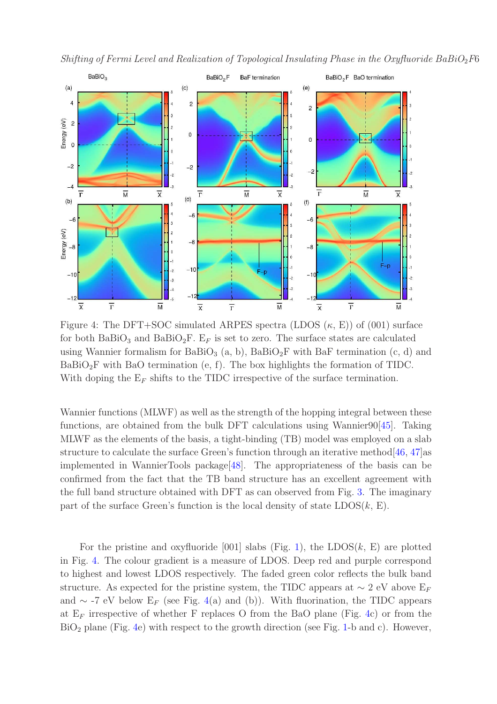<span id="page-5-0"></span>



Figure 4: The DFT+SOC simulated ARPES spectra (LDOS  $(\kappa, E)$ ) of (001) surface for both BaBiO<sub>3</sub> and BaBiO<sub>2</sub>F. E<sub>F</sub> is set to zero. The surface states are calculated using Wannier formalism for BaBiO<sub>3</sub> (a, b), BaBiO<sub>2</sub>F with BaF termination (c, d) and  $BaBiO<sub>2</sub>F$  with BaO termination (e, f). The box highlights the formation of TIDC. With doping the  $E_F$  shifts to the TIDC irrespective of the surface termination.

Wannier functions (MLWF) as well as the strength of the hopping integral between these functions, are obtained from the bulk DFT calculations using Wannier90[\[45\]](#page-11-10). Taking MLWF as the elements of the basis, a tight-binding (TB) model was employed on a slab structure to calculate the surface Green's function through an iterative method[\[46,](#page-11-11) [47\]](#page-11-12)as implemented in WannierTools package[\[48\]](#page-11-13). The appropriateness of the basis can be confirmed from the fact that the TB band structure has an excellent agreement with the full band structure obtained with DFT as can observed from Fig. [3.](#page-4-0) The imaginary part of the surface Green's function is the local density of state  $LDOS(k, E)$ .

For the pristine and oxyfluoride [001] slabs (Fig. [1\)](#page-2-0), the LDOS $(k, E)$  are plotted in Fig. [4.](#page-5-0) The colour gradient is a measure of LDOS. Deep red and purple correspond to highest and lowest LDOS respectively. The faded green color reflects the bulk band structure. As expected for the pristine system, the TIDC appears at  $\sim 2$  eV above E<sub>F</sub> and ∼ -7 eV below  $E_F$  (see Fig. [4\(](#page-5-0)a) and (b)). With fluorination, the TIDC appears at  $E_F$  irrespective of whether F replaces O from the BaO plane (Fig. [4c](#page-5-0)) or from the  $BiO<sub>2</sub>$  plane (Fig. [4e](#page-5-0)) with respect to the growth direction (see Fig. [1-](#page-2-0)b and c). However,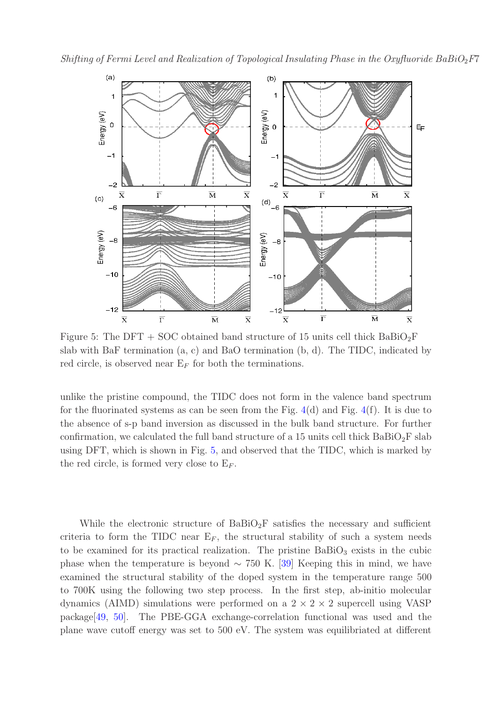<span id="page-6-0"></span>Shifting of Fermi Level and Realization of Topological Insulating Phase in the Oxyfluoride BaBiO<sub>2</sub>F7



Figure 5: The DFT + SOC obtained band structure of 15 units cell thick  $BaBiO_2F$ slab with BaF termination (a, c) and BaO termination (b, d). The TIDC, indicated by red circle, is observed near  $E_F$  for both the terminations.

unlike the pristine compound, the TIDC does not form in the valence band spectrum for the fluorinated systems as can be seen from the Fig.  $4(d)$  $4(d)$  and Fig.  $4(f)$ . It is due to the absence of s-p band inversion as discussed in the bulk band structure. For further confirmation, we calculated the full band structure of a 15 units cell thick  $BaBiO_2F$  slab using DFT, which is shown in Fig. [5,](#page-6-0) and observed that the TIDC, which is marked by the red circle, is formed very close to  $E_F$ .

While the electronic structure of  $BaBiO<sub>2</sub>F$  satisfies the necessary and sufficient criteria to form the TIDC near  $E_F$ , the structural stability of such a system needs to be examined for its practical realization. The pristine  $BaBiO<sub>3</sub>$  exists in the cubic phase when the temperature is beyond  $\sim$  750 K. [\[39\]](#page-11-4) Keeping this in mind, we have examined the structural stability of the doped system in the temperature range 500 to 700K using the following two step process. In the first step, ab-initio molecular dynamics (AIMD) simulations were performed on a  $2 \times 2 \times 2$  supercell using VASP package[\[49,](#page-11-14) [50\]](#page-11-15). The PBE-GGA exchange-correlation functional was used and the plane wave cutoff energy was set to 500 eV. The system was equilibriated at different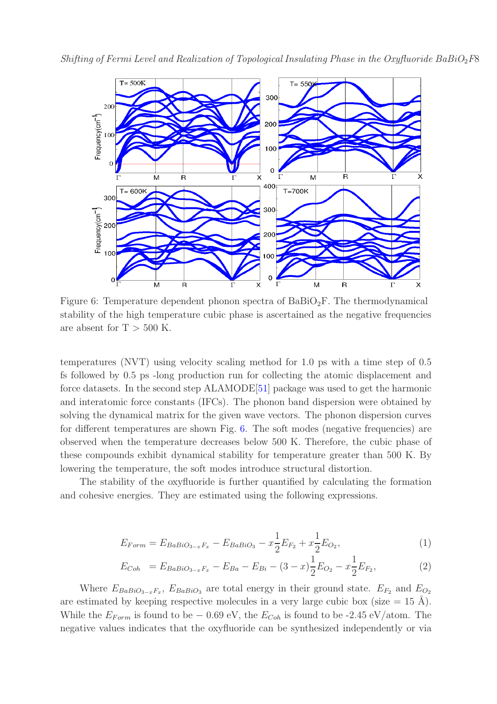<span id="page-7-0"></span>



Figure 6: Temperature dependent phonon spectra of  $BaBiO_2F$ . The thermodynamical stability of the high temperature cubic phase is ascertained as the negative frequencies are absent for  $T > 500$  K.

temperatures (NVT) using velocity scaling method for 1.0 ps with a time step of 0.5 fs followed by 0.5 ps -long production run for collecting the atomic displacement and force datasets. In the second step ALAMODE[\[51\]](#page-11-16) package was used to get the harmonic and interatomic force constants (IFCs). The phonon band dispersion were obtained by solving the dynamical matrix for the given wave vectors. The phonon dispersion curves for different temperatures are shown Fig. [6.](#page-7-0) The soft modes (negative frequencies) are observed when the temperature decreases below 500 K. Therefore, the cubic phase of these compounds exhibit dynamical stability for temperature greater than 500 K. By lowering the temperature, the soft modes introduce structural distortion.

The stability of the oxyfluoride is further quantified by calculating the formation and cohesive energies. They are estimated using the following expressions.

$$
E_{Form} = E_{BaBiO_{3-x}F_x} - E_{BaBiO_3} - x\frac{1}{2}E_{F_2} + x\frac{1}{2}E_{O_2},\tag{1}
$$

$$
E_{Coh} = E_{BaBiO_{3-x}F_x} - E_{Ba} - E_{Bi} - (3 - x)\frac{1}{2}E_{O_2} - x\frac{1}{2}E_{F_2},
$$
\n(2)

Where  $E_{BaBiO_3-xF_x}$ ,  $E_{BaBiO_3}$  are total energy in their ground state.  $E_{F_2}$  and  $E_{O_2}$ are estimated by keeping respective molecules in a very large cubic box (size  $= 15 \text{ Å}$ ). While the  $E_{Form}$  is found to be – 0.69 eV, the  $E_{Coh}$  is found to be -2.45 eV/atom. The negative values indicates that the oxyfluoride can be synthesized independently or via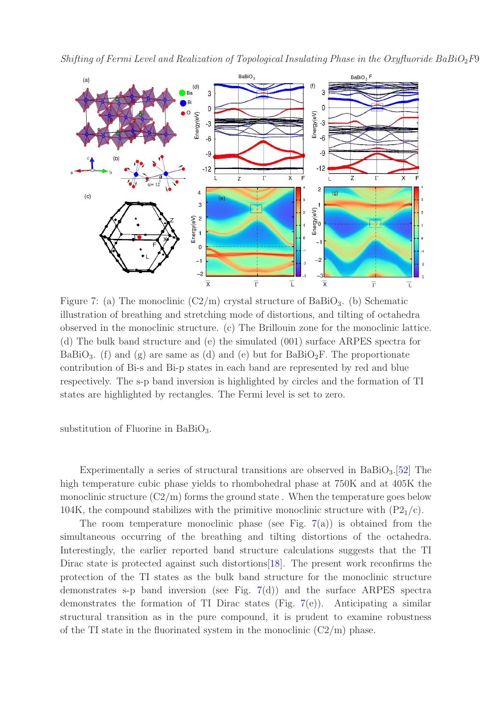<span id="page-8-0"></span>



Figure 7: (a) The monoclinic  $(C2/m)$  crystal structure of BaBiO<sub>3</sub>. (b) Schematic illustration of breathing and stretching mode of distortions, and tilting of octahedra observed in the monoclinic structure. (c) The Brillouin zone for the monoclinic lattice. (d) The bulk band structure and (e) the simulated (001) surface ARPES spectra for BaBiO<sub>3</sub>. (f) and (g) are same as (d) and (e) but for BaBiO<sub>2</sub>F. The proportionate contribution of Bi-s and Bi-p states in each band are represented by red and blue respectively. The s-p band inversion is highlighted by circles and the formation of TI states are highlighted by rectangles. The Fermi level is set to zero.

substitution of Fluorine in BaBi $O_3$ .

Experimentally a series of structural transitions are observed in  $BaBiO<sub>3</sub>$ . [\[52\]](#page-11-17) The high temperature cubic phase yields to rhombohedral phase at 750K and at 405K the monoclinic structure  $(C2/m)$  forms the ground state. When the temperature goes below 104K, the compound stabilizes with the primitive monoclinic structure with  $(P_{21}/c)$ .

The room temperature monoclinic phase (see Fig.  $7(a)$  $7(a)$ ) is obtained from the simultaneous occurring of the breathing and tilting distortions of the octahedra. Interestingly, the earlier reported band structure calculations suggests that the TI Dirac state is protected against such distortions[\[18\]](#page-10-8). The present work reconfirms the protection of the TI states as the bulk band structure for the monoclinic structure demonstrates s-p band inversion (see Fig. [7\(](#page-8-0)d)) and the surface ARPES spectra demonstrates the formation of TI Dirac states (Fig. [7\(](#page-8-0)e)). Anticipating a similar structural transition as in the pure compound, it is prudent to examine robustness of the TI state in the fluorinated system in the monoclinic  $(C2/m)$  phase.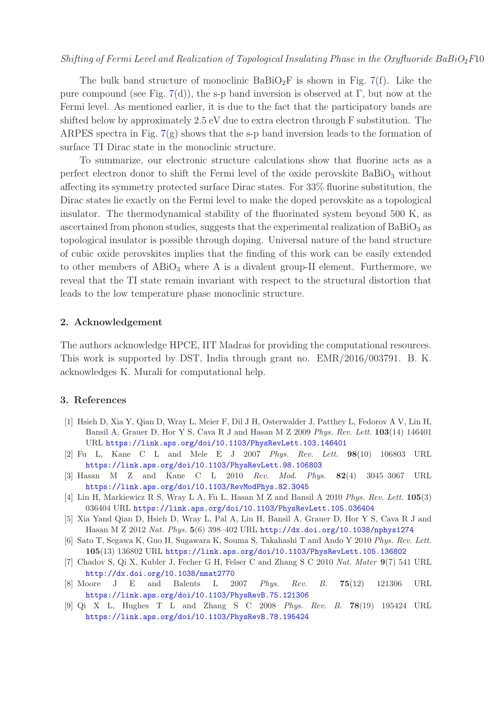The bulk band structure of monoclinic  $BaBiO<sub>2</sub>F$  is shown in Fig. [7\(](#page-8-0)f). Like the pure compound (see Fig. [7\(](#page-8-0)d)), the s-p band inversion is observed at  $\Gamma$ , but now at the Fermi level. As mentioned earlier, it is due to the fact that the participatory bands are shifted below by approximately 2.5 eV due to extra electron through F substitution. The ARPES spectra in Fig.  $7(g)$  $7(g)$  shows that the s-p band inversion leads to the formation of surface TI Dirac state in the monoclinic structure.

To summarize, our electronic structure calculations show that fluorine acts as a perfect electron donor to shift the Fermi level of the oxide perovskite  $BaBiO<sub>3</sub>$  without affecting its symmetry protected surface Dirac states. For 33% fluorine substitution, the Dirac states lie exactly on the Fermi level to make the doped perovskite as a topological insulator. The thermodynamical stability of the fluorinated system beyond 500 K, as ascertained from phonon studies, suggests that the experimental realization of  $BaBiO<sub>3</sub>$  as topological insulator is possible through doping. Universal nature of the band structure of cubic oxide perovskites implies that the finding of this work can be easily extended to other members of  $ABiO<sub>3</sub>$  where A is a divalent group-II element. Furthermore, we reveal that the TI state remain invariant with respect to the structural distortion that leads to the low temperature phase monoclinic structure.

## 2. Acknowledgement

The authors acknowledge HPCE, IIT Madras for providing the computational resources. This work is supported by DST, India through grant no. EMR/2016/003791. B. K. acknowledges K. Murali for computational help.

## <span id="page-9-0"></span>3. References

- [1] Hsieh D, Xia Y, Qian D, Wray L, Meier F, Dil J H, Osterwalder J, Patthey L, Fedorov A V, Lin H, Bansil A, Grauer D, Hor Y S, Cava R J and Hasan M Z 2009 *Phys. Rev. Lett.* 103(14) 146401 URL <https://link.aps.org/doi/10.1103/PhysRevLett.103.146401>
- <span id="page-9-1"></span>[2] Fu L, Kane C L and Mele E J 2007 *Phys. Rev. Lett.* 98(10) 106803 URL <https://link.aps.org/doi/10.1103/PhysRevLett.98.106803>
- <span id="page-9-2"></span>[3] Hasan M Z and Kane C L 2010 *Rev. Mod. Phys.* 82(4) 3045–3067 URL <https://link.aps.org/doi/10.1103/RevModPhys.82.3045>
- <span id="page-9-3"></span>[4] Lin H, Markiewicz R S, Wray L A, Fu L, Hasan M Z and Bansil A 2010 *Phys. Rev. Lett.* 105(3) 036404 URL <https://link.aps.org/doi/10.1103/PhysRevLett.105.036404>
- <span id="page-9-4"></span>[5] Xia Yand Qian D, Hsieh D, Wray L, Pal A, Lin H, Bansil A, Grauer D, Hor Y S, Cava R J and Hasan M Z 2012 *Nat. Phys.* 5(6) 398–402 URL <http://dx.doi.org/10.1038/nphys1274>
- <span id="page-9-5"></span>[6] Sato T, Segawa K, Guo H, Sugawara K, Souma S, Takahashi T and Ando Y 2010 *Phys. Rev. Lett.* 105(13) 136802 URL <https://link.aps.org/doi/10.1103/PhysRevLett.105.136802>
- <span id="page-9-6"></span>[7] Chadov S, Qi X, Kubler J, Fecher G H, Felser C and Zhang S C 2010 *Nat. Mater* 9(7) 541 URL <http://dx.doi.org/10.1038/nmat2770>
- <span id="page-9-7"></span>[8] Moore J E and Balents L 2007 *Phys. Rev. B.* 75(12) 121306 URL <https://link.aps.org/doi/10.1103/PhysRevB.75.121306>
- <span id="page-9-8"></span>[9] Qi X L, Hughes T L and Zhang S C 2008 *Phys. Rev. B.* 78(19) 195424 URL <https://link.aps.org/doi/10.1103/PhysRevB.78.195424>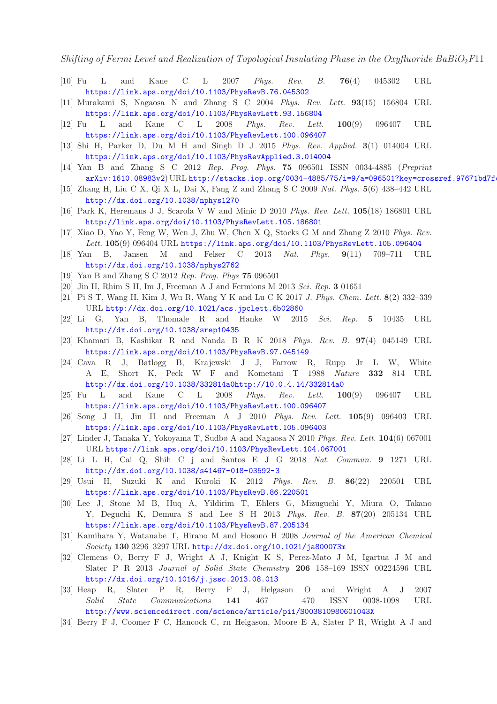<span id="page-10-0"></span>Shifting of Fermi Level and Realization of Topological Insulating Phase in the Oxyfluoride BaBiO<sub>2</sub>F11

- <span id="page-10-1"></span>[10] Fu L and Kane C L 2007 *Phys. Rev. B.* 76(4) 045302 URL <https://link.aps.org/doi/10.1103/PhysRevB.76.045302>
- <span id="page-10-2"></span>[11] Murakami S, Nagaosa N and Zhang S C 2004 *Phys. Rev. Lett.* 93(15) 156804 URL <https://link.aps.org/doi/10.1103/PhysRevLett.93.156804>
- <span id="page-10-3"></span>[12] Fu L and Kane C L 2008 *Phys. Rev. Lett.* 100(9) 096407 URL <https://link.aps.org/doi/10.1103/PhysRevLett.100.096407>
- <span id="page-10-4"></span>[13] Shi H, Parker D, Du M H and Singh D J 2015 *Phys. Rev. Applied.* 3(1) 014004 URL <https://link.aps.org/doi/10.1103/PhysRevApplied.3.014004>
- [14] Yan B and Zhang S C 2012 *Rep. Prog. Phys.* 75 096501 ISSN 0034-4885 (*Preprint*  $arXiv:1610.08983v2) \text{ URL http://stacks.iop.org/0034-4885/75/i=9/a=096501?key=crossref.97671bd7f$  $arXiv:1610.08983v2) \text{ URL http://stacks.iop.org/0034-4885/75/i=9/a=096501?key=crossref.97671bd7f$
- <span id="page-10-6"></span><span id="page-10-5"></span>[15] Zhang H, Liu C X, Qi X L, Dai X, Fang Z and Zhang S C 2009 *Nat. Phys.* 5(6) 438–442 URL <http://dx.doi.org/10.1038/nphys1270>
- <span id="page-10-7"></span>[16] Park K, Heremans J J, Scarola V W and Minic D 2010 *Phys. Rev. Lett.* 105(18) 186801 URL <http://link.aps.org/doi/10.1103/PhysRevLett.105.186801>
- [17] Xiao D, Yao Y, Feng W, Wen J, Zhu W, Chen X Q, Stocks G M and Zhang Z 2010 *Phys. Rev.* Lett. 105(9) 096404 URL <https://link.aps.org/doi/10.1103/PhysRevLett.105.096404>
- <span id="page-10-9"></span><span id="page-10-8"></span>[18] Yan B, Jansen M and Felser C 2013 *Nat. Phys.* 9(11) 709–711 URL <http://dx.doi.org/10.1038/nphys2762>
- <span id="page-10-10"></span>[19] Yan B and Zhang S C 2012 *Rep. Prog. Phys* 75 096501
- <span id="page-10-11"></span>[20] Jin H, Rhim S H, Im J, Freeman A J and Fermions M 2013 *Sci. Rep.* 3 01651
- <span id="page-10-12"></span>[21] Pi S T, Wang H, Kim J, Wu R, Wang Y K and Lu C K 2017 *J. Phys. Chem. Lett.* 8(2) 332–339 URL <http://dx.doi.org/10.1021/acs.jpclett.6b02860>
- <span id="page-10-13"></span>[22] Li G, Yan B, Thomale R and Hanke W 2015 *Sci. Rep.* 5 10435 URL <http://dx.doi.org/10.1038/srep10435>
- <span id="page-10-14"></span>[23] Khamari B, Kashikar R and Nanda B R K 2018 *Phys. Rev. B.* 97(4) 045149 URL <https://link.aps.org/doi/10.1103/PhysRevB.97.045149>
- [24] Cava R J, Batlogg B, Krajewski J J, Farrow R, Rupp Jr L W, White A E, Short K, Peck W F and Kometani T 1988 *Nature* 332 814 URL [http://dx.doi.org/10.1038/332814a0http://10.0.4.14/332814a0](http://dx.doi.org/10.1038/332814a0 http://10.0.4.14/332814a0)
- <span id="page-10-15"></span>[25] Fu L and Kane C L 2008 *Phys. Rev. Lett.* 100(9) 096407 URL <https://link.aps.org/doi/10.1103/PhysRevLett.100.096407>
- <span id="page-10-16"></span>[26] Song J H, Jin H and Freeman A J 2010 *Phys. Rev. Lett.* 105(9) 096403 URL <https://link.aps.org/doi/10.1103/PhysRevLett.105.096403>
- <span id="page-10-17"></span>[27] Linder J, Tanaka Y, Yokoyama T, Sudbø A and Nagaosa N 2010 *Phys. Rev. Lett.* 104(6) 067001 URL <https://link.aps.org/doi/10.1103/PhysRevLett.104.067001>
- <span id="page-10-18"></span>[28] Li L H, Cai Q, Shih C j and Santos E J G 2018 *Nat. Commun.* 9 1271 URL <http://dx.doi.org/10.1038/s41467-018-03592-3>
- <span id="page-10-19"></span>[29] Usui H, Suzuki K and Kuroki K 2012 *Phys. Rev. B.* 86(22) 220501 URL <https://link.aps.org/doi/10.1103/PhysRevB.86.220501>
- <span id="page-10-20"></span>[30] Lee J, Stone M B, Huq A, Yildirim T, Ehlers G, Mizuguchi Y, Miura O, Takano Y, Deguchi K, Demura S and Lee S H 2013 *Phys. Rev. B.* 87(20) 205134 URL <https://link.aps.org/doi/10.1103/PhysRevB.87.205134>
- <span id="page-10-21"></span>[31] Kamihara Y, Watanabe T, Hirano M and Hosono H 2008 *Journal of the American Chemical Society* 130 3296–3297 URL <http://dx.doi.org/10.1021/ja800073m>
- <span id="page-10-22"></span>[32] Clemens O, Berry F J, Wright A J, Knight K S, Perez-Mato J M, Igartua J M and Slater P R 2013 *Journal of Solid State Chemistry* 206 158–169 ISSN 00224596 URL <http://dx.doi.org/10.1016/j.jssc.2013.08.013>
- <span id="page-10-23"></span>[33] Heap R, Slater P R, Berry F J, Helgason O and Wright A J 2007 *Solid State Communications* 141 467 – 470 ISSN 0038-1098 URL <http://www.sciencedirect.com/science/article/pii/S003810980601043X>
- <span id="page-10-24"></span>[34] Berry F J, Coomer F C, Hancock C, rn Helgason, Moore E A, Slater P R, Wright A J and